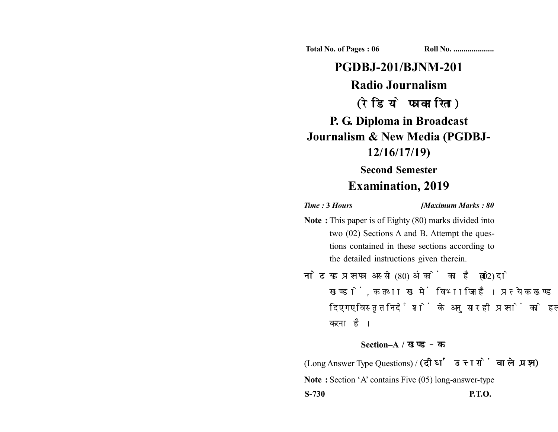**Total No. of Pages : 06 Roll No. ...................** 

## **PGDBJ-201/BJNM-201 Radio Journalism** (रेडियो पत्रकारिता) **P. G. Diploma in Broadcast Journalism & New Media (PGDBJ-12/16/17/19)**

## **Second Semester Examination, 2019**

*Time :* **3** *Hours [Maximum Marks : 80*

- **Note :** This paper is of Eighty (80) marks divided into two (02) Sections A and B. Attempt the questions contained in these sections according to the detailed instructions given therein.
- नोट: यह प्रश्नपत्र अस्सी (80) अंकों का है जो दो (02) खण्डों, क तथा ख में विभाजित है। प्रत्येक खण्ड में दिए गए विस्तृत निर्देशों के अनुसार ही प्रश्नों को हल करना है।

## **Section–A /**

(Long Answer Type Questions) / (दीर्घ उत्तरों वाले प्रश्न) **Note :** Section 'A' contains Five (05) long-answer-type **S-730 P.T.O.**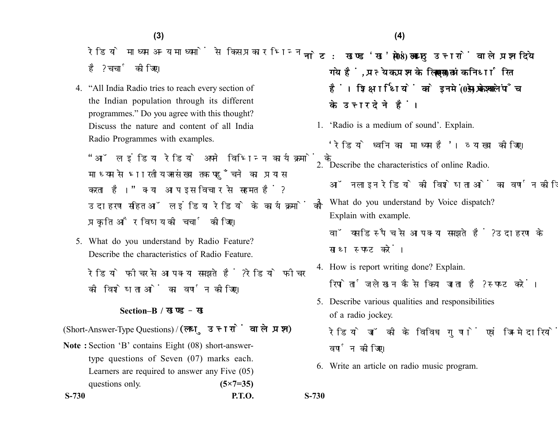रेडियो माध्यम अन्य माध्यमों से किस प्रकार भिन्न है? चर्चा कोजिए।

4. "All India Radio tries to reach every section of the Indian population through its different programmes." Do you agree with this thought? Discuss the nature and content of all India Radio Programmes with examples.

"ऑल इंडिया रेडियो अपने विभिन्न कार्यक्रमों के माध्यम से भारतीय जनसंख्या तक पहुँचने का प्रयास करता है।" क्या आप इस विचार से सहमत हैं? उदाहरण सहित ऑल इंडिया रेडियो के कार्यक्रमों की प्रकृति और विषय की चर्चा कीजिए।

5. What do you understand by Radio Feature? Describe the characteristics of Radio Feature.

रेडियो फीचर से आप क्या समझते हैं ? रेडियो फीचर की विशेषताओं का वर्णन कीजिए।

## **Section–B /**

(Short-Answer-Type Questions) / (लघु उत्तरों वाले प्रश्न)

**Note :** Section 'B' contains Eight (08) short-answertype questions of Seven (07) marks each. Learners are required to answer any Five (05) questions only. **(5×7=35)**  नोट: खण्ड'ख' में आठ (08) लघ उत्तरों वाले प्रश्न दिये गये हैं, प्रत्येक प्रश्न के लिए सात (07) अंक निर्धारित हैं। शिक्षार्थियों को इनमें से केवल पाँच (05) प्रश्नों के उत्तर देने हैं।

1. 'Radio is a medium of sound'. Explain.

'रेडियो ध्वनि का माध्यम है'। व्याख्या कोजिए।

2. Describe the characteristics of online Radio.

ऑनलाइन रेडियो की विशेषताओं का वर्णन कीजिए।

3. What do you understand by Voice dispatch? Explain with example. वॉयस डिस्पैच से आप क्या समझते हैं? उदाहरण के

साथ स्पष्ट करें।

- 4. How is report writing done? Explain. रिपोर्ताज लेखन कैसे किया जाता है? स्पष्ट करें।
- 5. Describe various qualities and responsibilities of a radio jockey.
	- रेडियो जॉकी के विविध गणों एवं जिम्मेदारियों का वर्णन कोजिए।
- 6. Write an article on radio music program.

**S-730**